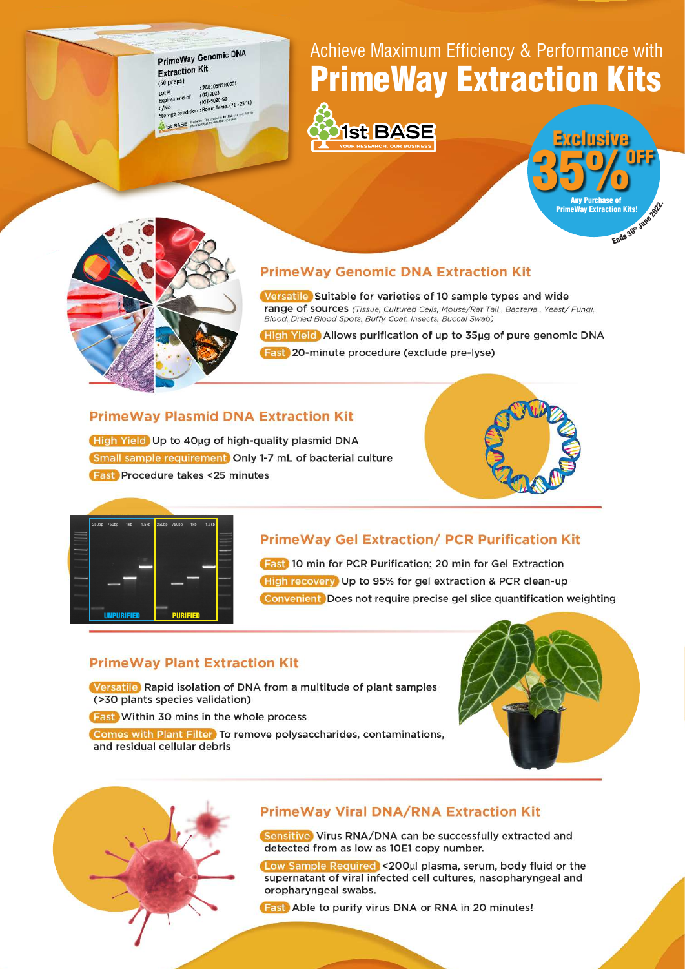PrimeWay Genomic DNA **Extraction Kit**  $(50 \text{ preps})$ 240106NSH0001  $1$  of #  $104/2023$ <br> $K/T-9020-50$ Lot #<br>Expires end of<br>C/No : KIT-9U20-50<br>Storage condition : Room Temp. (21 - 25 °C) 1st BASE (believer this project a list high of

## Achieve Maximum Efficiency & Performance with **PrimeWay Extraction Kits**







### **PrimeWay Genomic DNA Extraction Kit**

Versatile Suitable for varieties of 10 sample types and wide range of sources (Tissue, Cultured Cells, Mouse/Rat Tail, Bacteria, Yeast/ Fungi, Blood, Dried Blood Spots, Buffy Coat, Insects, Buccal Swab)

High Yield Allows purification of up to 35ug of pure genomic DNA Fast 20-minute procedure (exclude pre-lyse)

### **PrimeWay Plasmid DNA Extraction Kit**

High Yield Up to 40µg of high-quality plasmid DNA Small sample requirement Only 1-7 mL of bacterial culture **Fast** Procedure takes <25 minutes





### **PrimeWay Gel Extraction/ PCR Purification Kit**

**Fast** 10 min for PCR Purification; 20 min for Gel Extraction High recovery Up to 95% for gel extraction & PCR clean-up Convenient Does not require precise gel slice quantification weighting

#### **PrimeWay Plant Extraction Kit**

Versatile Rapid isolation of DNA from a multitude of plant samples (>30 plants species validation)

**Fast** Within 30 mins in the whole process

Comes with Plant Filter To remove polysaccharides, contaminations, and residual cellular debris





#### **PrimeWay Viral DNA/RNA Extraction Kit**

Sensitive Virus RNA/DNA can be successfully extracted and detected from as low as 10E1 copy number.

Low Sample Required <200ul plasma, serum, body fluid or the supernatant of viral infected cell cultures, nasopharyngeal and oropharyngeal swabs.

**Fast** Able to purify virus DNA or RNA in 20 minutes!